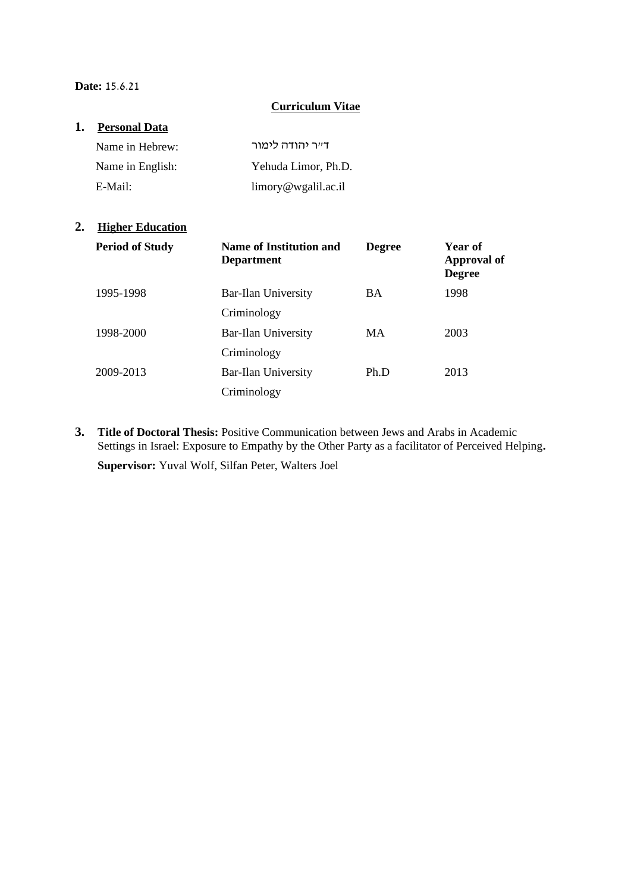#### **Date:** 15.6.21

#### **Curriculum Vitae**

# **1. Personal Data**

| Name in Hebrew:  | ד״ר יהודה לימור                    |
|------------------|------------------------------------|
| Name in English: | Yehuda Limor, Ph.D.                |
| E-Mail:          | $\lim_{\alpha \to 0}$ wgalil.ac.il |

# **2. Higher Education**

| <b>Period of Study</b> | Name of Institution and<br><b>Department</b> | <b>Degree</b> | Year of<br><b>Approval of</b><br><b>Degree</b> |
|------------------------|----------------------------------------------|---------------|------------------------------------------------|
| 1995-1998              | Bar-Ilan University                          | <b>BA</b>     | 1998                                           |
|                        | Criminology                                  |               |                                                |
| 1998-2000              | Bar-Ilan University                          | <b>MA</b>     | 2003                                           |
|                        | Criminology                                  |               |                                                |
| 2009-2013              | Bar-Ilan University                          | Ph.D          | 2013                                           |
|                        | Criminology                                  |               |                                                |

**3. Title of Doctoral Thesis:** Positive Communication between Jews and Arabs in Academic Settings in Israel: Exposure to Empathy by the Other Party as a facilitator of Perceived Helping**. Supervisor:** Yuval Wolf, Silfan Peter, Walters Joel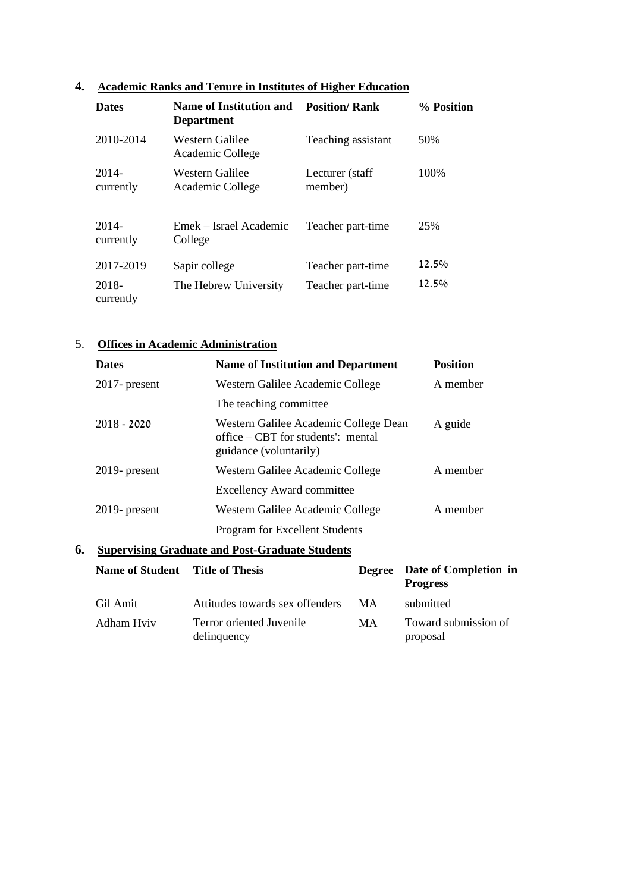### **4. Academic Ranks and Tenure in Institutes of Higher Education**

| <b>Dates</b>       | Name of Institution and<br><b>Department</b> | <b>Position/ Rank</b>      | % Position |
|--------------------|----------------------------------------------|----------------------------|------------|
| 2010-2014          | Western Galilee<br>Academic College          | Teaching assistant         | 50%        |
| 2014-<br>currently | Western Galilee<br>Academic College          | Lecturer (staff<br>member) | 100%       |
| 2014-<br>currently | Emek – Israel Academic<br>College            | Teacher part-time          | 25%        |
| 2017-2019          | Sapir college                                | Teacher part-time          | $12.5\%$   |
| 2018-<br>currently | The Hebrew University                        | Teacher part-time          | 12.5%      |

# 5. **Offices in Academic Administration**

| <b>Dates</b>     | <b>Name of Institution and Department</b>                                                              | <b>Position</b> |
|------------------|--------------------------------------------------------------------------------------------------------|-----------------|
| $2017$ - present | Western Galilee Academic College                                                                       | A member        |
|                  | The teaching committee.                                                                                |                 |
| $2018 - 2020$    | Western Galilee Academic College Dean<br>office $-CBT$ for students': mental<br>guidance (voluntarily) | A guide         |
| $2019$ - present | Western Galilee Academic College                                                                       | A member        |
|                  | <b>Excellency Award committee</b>                                                                      |                 |
| $2019$ - present | Western Galilee Academic College                                                                       | A member        |
|                  | <b>Program for Excellent Students</b>                                                                  |                 |

# **6. Supervising Graduate and Post-Graduate Students**

| Name of Student Title of Thesis |                                         |     | Degree Date of Completion in<br><b>Progress</b> |
|---------------------------------|-----------------------------------------|-----|-------------------------------------------------|
| Gil Amit                        | Attitudes towards sex offenders         | MA. | submitted                                       |
| Adham Hviv                      | Terror oriented Juvenile<br>delinquency | MA  | Toward submission of<br>proposal                |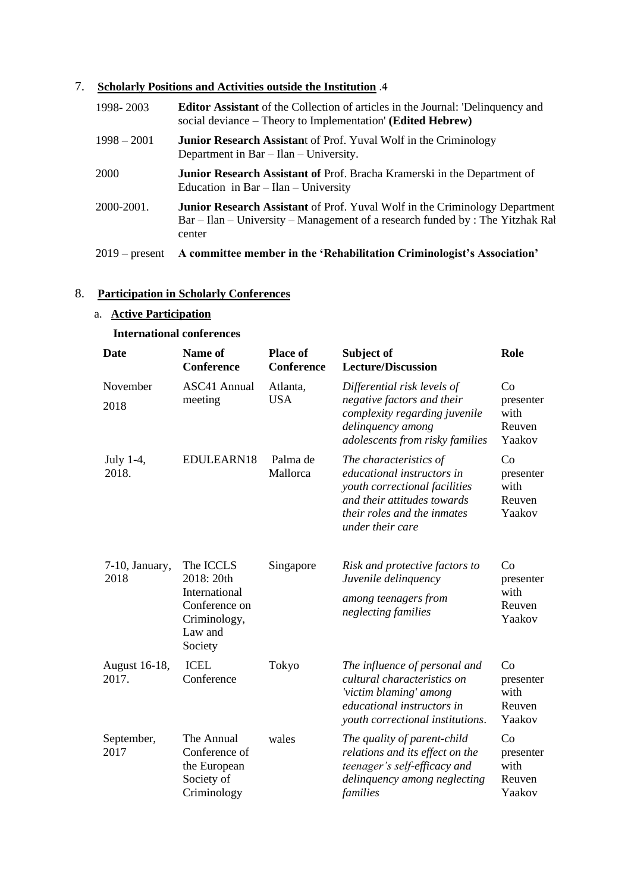### 7. **Scholarly Positions and Activities outside the Institution** .4

| 1998-2003        | <b>Editor Assistant</b> of the Collection of articles in the Journal: 'Delinquency and<br>social deviance – Theory to Implementation' (Edited Hebrew)                          |
|------------------|--------------------------------------------------------------------------------------------------------------------------------------------------------------------------------|
| $1998 - 2001$    | <b>Junior Research Assistant of Prof. Yuval Wolf in the Criminology</b><br>Department in $Bar - Ilan - University$ .                                                           |
| <b>2000</b>      | <b>Junior Research Assistant of Prof. Bracha Kramerski in the Department of</b><br>Education in Bar $-$ Ilan $-$ University                                                    |
| 2000-2001.       | <b>Junior Research Assistant</b> of Prof. Yuval Wolf in the Criminology Department<br>Bar – Ilan – University – Management of a research funded by : The Yitzhak Ral<br>center |
| $2019$ – present | A committee member in the 'Rehabilitation Criminologist's Association'                                                                                                         |

# 8. **Participation in Scholarly Conferences**

# a. **Active Participation**

#### **International conferences**

| <b>Date</b>            | <b>Name of</b><br>Conference                                                                    | <b>Place of</b><br><b>Conference</b> | Subject of<br><b>Lecture/Discussion</b>                                                                                                                                 | Role                                        |
|------------------------|-------------------------------------------------------------------------------------------------|--------------------------------------|-------------------------------------------------------------------------------------------------------------------------------------------------------------------------|---------------------------------------------|
| November<br>2018       | <b>ASC41 Annual</b><br>meeting                                                                  | Atlanta,<br><b>USA</b>               | Differential risk levels of<br>negative factors and their<br>complexity regarding juvenile<br>delinquency among<br>adolescents from risky families                      | Co<br>presenter<br>with<br>Reuven<br>Yaakov |
| July $1-4$ ,<br>2018.  | EDULEARN18                                                                                      | Palma de<br>Mallorca                 | The characteristics of<br>educational instructors in<br>youth correctional facilities<br>and their attitudes towards<br>their roles and the inmates<br>under their care | Co<br>presenter<br>with<br>Reuven<br>Yaakov |
| 7-10, January,<br>2018 | The ICCLS<br>2018: 20th<br>International<br>Conference on<br>Criminology,<br>Law and<br>Society | Singapore                            | Risk and protective factors to<br>Juvenile delinquency<br>among teenagers from<br>neglecting families                                                                   | Co<br>presenter<br>with<br>Reuven<br>Yaakov |
| August 16-18,<br>2017. | <b>ICEL</b><br>Conference                                                                       | Tokyo                                | The influence of personal and<br>cultural characteristics on<br>'victim blaming' among<br>educational instructors in<br>youth correctional institutions.                | Co<br>presenter<br>with<br>Reuven<br>Yaakov |
| September,<br>2017     | The Annual<br>Conference of<br>the European<br>Society of<br>Criminology                        | wales                                | The quality of parent-child<br>relations and its effect on the<br>teenager's self-efficacy and<br>delinquency among neglecting<br>families                              | Co<br>presenter<br>with<br>Reuven<br>Yaakov |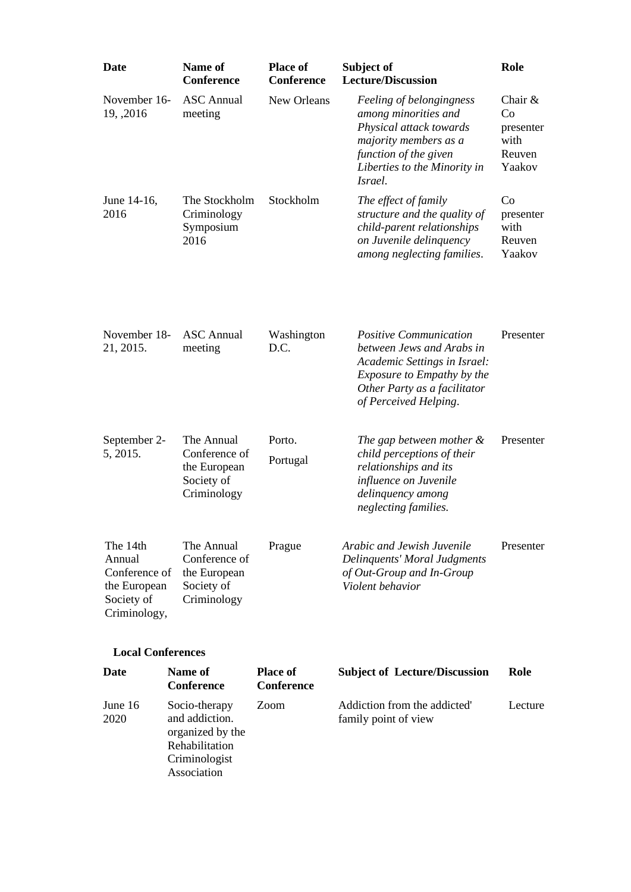| Date                                                                              | Name of<br><b>Conference</b>                                             | <b>Place of</b><br><b>Conference</b> | Subject of<br><b>Lecture/Discussion</b>                                                                                                                                                  | Role                                                     |
|-----------------------------------------------------------------------------------|--------------------------------------------------------------------------|--------------------------------------|------------------------------------------------------------------------------------------------------------------------------------------------------------------------------------------|----------------------------------------------------------|
| November 16-<br>19, , 2016                                                        | <b>ASC</b> Annual<br>meeting                                             | New Orleans                          | Feeling of belongingness<br>among minorities and<br>Physical attack towards<br>majority members as a<br>function of the given<br>Liberties to the Minority in<br>Israel.                 | Chair $&$<br>Co<br>presenter<br>with<br>Reuven<br>Yaakov |
| June 14-16,<br>2016                                                               | The Stockholm<br>Criminology<br>Symposium<br>2016                        | Stockholm                            | The effect of family<br>structure and the quality of<br>child-parent relationships<br>on Juvenile delinquency<br>among neglecting families.                                              | Co<br>presenter<br>with<br>Reuven<br>Yaakov              |
| November 18-<br>21, 2015.                                                         | <b>ASC</b> Annual<br>meeting                                             | Washington<br>D.C.                   | <i>Positive Communication</i><br>between Jews and Arabs in<br>Academic Settings in Israel:<br><i>Exposure to Empathy by the</i><br>Other Party as a facilitator<br>of Perceived Helping. | Presenter                                                |
| September 2-                                                                      | The Annual                                                               | Porto.                               | The gap between mother &                                                                                                                                                                 | Presenter                                                |
| 5, 2015.                                                                          | Conference of<br>the European<br>Society of<br>Criminology               | Portugal                             | child perceptions of their<br>relationships and its<br>influence on Juvenile<br>delinquency among<br>neglecting families.                                                                |                                                          |
| The 14th<br>Annual<br>Conference of<br>the European<br>Society of<br>Criminology, | The Annual<br>Conference of<br>the European<br>Society of<br>Criminology | Prague                               | Arabic and Jewish Juvenile<br>Delinquents' Moral Judgments<br>of Out-Group and In-Group<br>Violent behavior                                                                              | Presenter                                                |
| <b>Local Conferences</b>                                                          |                                                                          |                                      |                                                                                                                                                                                          |                                                          |
| Date                                                                              | Name of<br>Conference                                                    | <b>Place of</b><br><b>Conference</b> | <b>Subject of Lecture/Discussion</b>                                                                                                                                                     | Role                                                     |
| June 16<br>2020                                                                   | Socio-therapy<br>and addiction.<br>organized by the<br>Rehabilitation    | Zoom                                 | Addiction from the addicted'<br>family point of view                                                                                                                                     | Lecture                                                  |

Criminologist Association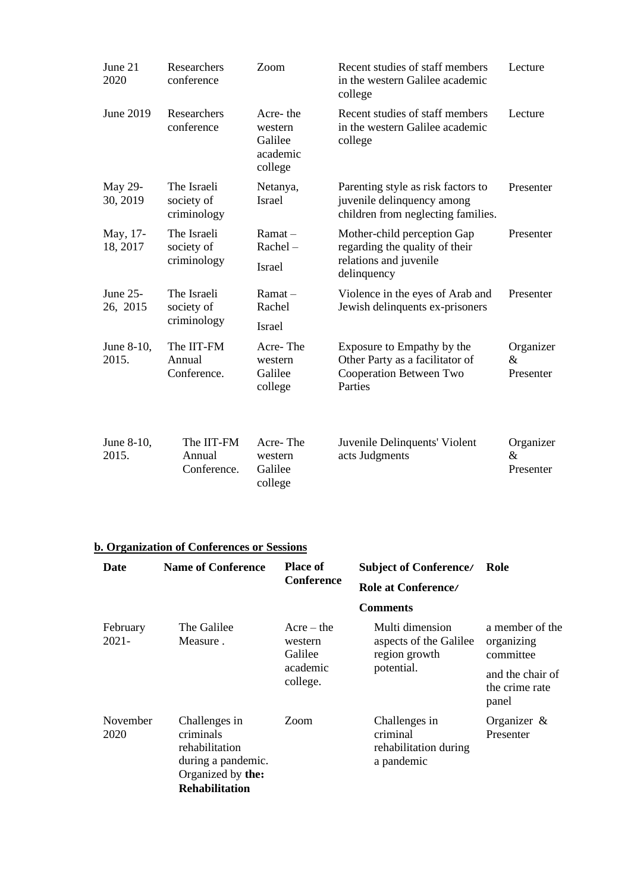| June 21<br>2020        | Researchers<br>conference                | Zoom                                                  | Recent studies of staff members<br>in the western Galilee academic<br>college                          | Lecture                     |
|------------------------|------------------------------------------|-------------------------------------------------------|--------------------------------------------------------------------------------------------------------|-----------------------------|
| June 2019              | Researchers<br>conference                | Acre-the<br>western<br>Galilee<br>academic<br>college | Recent studies of staff members<br>in the western Galilee academic<br>college                          | Lecture                     |
| May 29-<br>30, 2019    | The Israeli<br>society of<br>criminology | Netanya,<br><b>Israel</b>                             | Parenting style as risk factors to<br>juvenile delinquency among<br>children from neglecting families. | Presenter                   |
| May, 17-<br>18, 2017   | The Israeli<br>society of<br>criminology | $Ramat -$<br>Rachel-<br>Israel                        | Mother-child perception Gap<br>regarding the quality of their<br>relations and juvenile<br>delinquency | Presenter                   |
| June $25-$<br>26, 2015 | The Israeli<br>society of<br>criminology | $Ramat -$<br>Rachel<br><b>Israel</b>                  | Violence in the eyes of Arab and<br>Jewish delinquents ex-prisoners                                    | Presenter                   |
| June 8-10,<br>2015.    | The IIT-FM<br>Annual<br>Conference.      | Acre-The<br>western<br>Galilee<br>college             | Exposure to Empathy by the<br>Other Party as a facilitator of<br>Cooperation Between Two<br>Parties    | Organizer<br>&<br>Presenter |
| June 8-10,<br>2015.    | The IIT-FM<br>Annual<br>Conference.      | Acre-The<br>western<br>Galilee<br>college             | Juvenile Delinquents' Violent<br>acts Judgments                                                        | Organizer<br>&<br>Presenter |

# **b. Organization of Conferences or Sessions**

| Date                 | <b>Name of Conference</b>                                                                                        | <b>Place of</b>                                            | <b>Subject of Conference/</b>                                            | Role                                                                                      |
|----------------------|------------------------------------------------------------------------------------------------------------------|------------------------------------------------------------|--------------------------------------------------------------------------|-------------------------------------------------------------------------------------------|
|                      |                                                                                                                  | <b>Conference</b>                                          | Role at Conference/                                                      |                                                                                           |
|                      |                                                                                                                  |                                                            | <b>Comments</b>                                                          |                                                                                           |
| February<br>$2021 -$ | The Galilee<br>Measure.                                                                                          | $Acre - the$<br>western<br>Galilee<br>academic<br>college. | Multi dimension<br>aspects of the Galilee<br>region growth<br>potential. | a member of the<br>organizing<br>committee<br>and the chair of<br>the crime rate<br>panel |
| November<br>2020     | Challenges in<br>criminals<br>rehabilitation<br>during a pandemic.<br>Organized by the:<br><b>Rehabilitation</b> | Zoom                                                       | Challenges in<br>criminal<br>rehabilitation during<br>a pandemic         | Organizer $\&$<br>Presenter                                                               |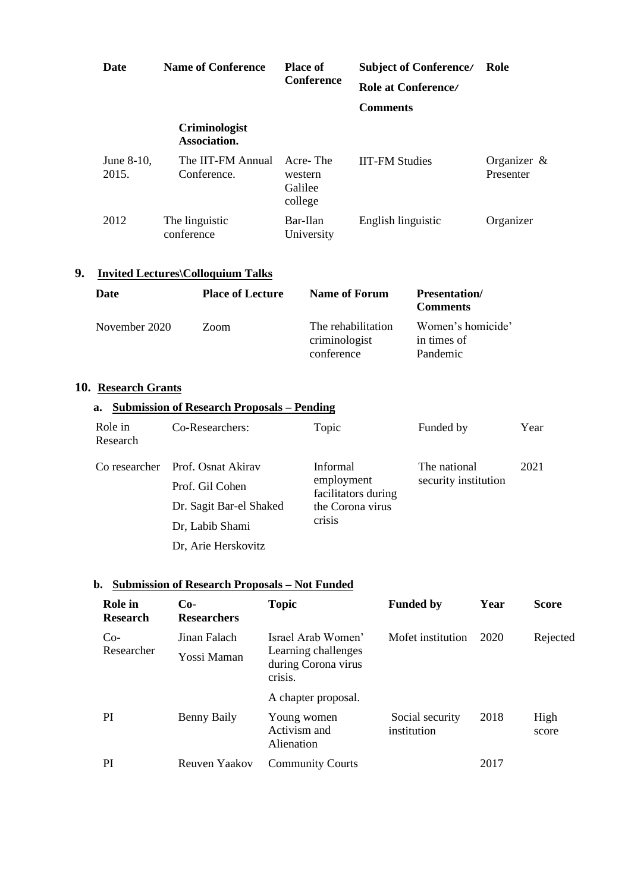| <b>Date</b>            | <b>Name of Conference</b>            | <b>Place of</b><br><b>Conference</b>      | <b>Subject of Conference/</b><br>Role at Conference/ | Role                        |
|------------------------|--------------------------------------|-------------------------------------------|------------------------------------------------------|-----------------------------|
|                        |                                      |                                           | <b>Comments</b>                                      |                             |
|                        | <b>Criminologist</b><br>Association. |                                           |                                                      |                             |
| June $8-10$ ,<br>2015. | The IIT-FM Annual<br>Conference.     | Acre-The<br>western<br>Galilee<br>college | <b>IIT-FM Studies</b>                                | Organizer $\&$<br>Presenter |
| 2012                   | The linguistic<br>conference         | Bar-Ilan<br>University                    | English linguistic                                   | Organizer                   |

# **9. Invited Lectures\Colloquium Talks**

| <b>Date</b>   | <b>Place of Lecture</b> | Name of Forum                                     | <b>Presentation</b> /<br><b>Comments</b>     |
|---------------|-------------------------|---------------------------------------------------|----------------------------------------------|
| November 2020 | Zoom                    | The rehabilitation<br>criminologist<br>conference | Women's homicide'<br>in times of<br>Pandemic |

### **10. Research Grants**

| a. |         | <b>Submission of Research Proposals – Pending</b> |       |
|----|---------|---------------------------------------------------|-------|
|    | Role in | Co-Researchers:                                   | Topic |

| Research |                                  |                                                                             |                                      |      |
|----------|----------------------------------|-----------------------------------------------------------------------------|--------------------------------------|------|
|          | Co researcher Prof. Osnat Akiray | Informal<br>employment<br>facilitators during<br>the Corona virus<br>crisis | The national<br>security institution | 2021 |
|          | Prof. Gil Cohen                  |                                                                             |                                      |      |
|          | Dr. Sagit Bar-el Shaked          |                                                                             |                                      |      |
|          | Dr, Labib Shami                  |                                                                             |                                      |      |
|          | Dr, Arie Herskovitz              |                                                                             |                                      |      |

Funded by Year

#### **b. Submission of Research Proposals – Not Funded**

| Role in<br><b>Research</b> | $Co-$<br><b>Researchers</b> | <b>Topic</b>                                                                | <b>Funded by</b>               | Year | <b>Score</b>  |
|----------------------------|-----------------------------|-----------------------------------------------------------------------------|--------------------------------|------|---------------|
| $Co-$<br>Researcher        | Jinan Falach<br>Yossi Maman | Israel Arab Women'<br>Learning challenges<br>during Corona virus<br>crisis. | Mofet institution              | 2020 | Rejected      |
|                            |                             | A chapter proposal.                                                         |                                |      |               |
| <b>PI</b>                  | Benny Baily                 | Young women<br>Activism and<br>Alienation                                   | Social security<br>institution | 2018 | High<br>score |
| PI                         | Reuven Yaakov               | <b>Community Courts</b>                                                     |                                | 2017 |               |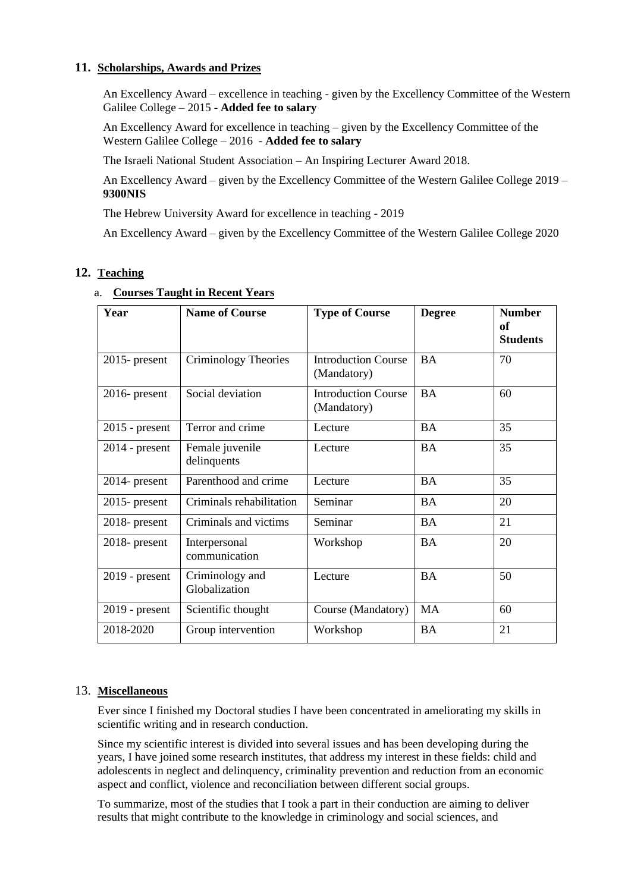#### **11. Scholarships, Awards and Prizes**

An Excellency Award – excellence in teaching - given by the Excellency Committee of the Western Galilee College – 2015 - **Added fee to salary**

An Excellency Award for excellence in teaching – given by the Excellency Committee of the Western Galilee College – 2016 - **Added fee to salary**

The Israeli National Student Association – An Inspiring Lecturer Award 2018.

An Excellency Award – given by the Excellency Committee of the Western Galilee College 2019 – **9300NIS**

The Hebrew University Award for excellence in teaching - 2019

An Excellency Award – given by the Excellency Committee of the Western Galilee College 2020

#### **12. Teaching**

| Year             | <b>Name of Course</b>            | <b>Type of Course</b>                     | <b>Degree</b> | <b>Number</b><br>of<br><b>Students</b> |
|------------------|----------------------------------|-------------------------------------------|---------------|----------------------------------------|
| $2015$ - present | Criminology Theories             | <b>Introduction Course</b><br>(Mandatory) | <b>BA</b>     | 70                                     |
| $2016$ - present | Social deviation                 | <b>Introduction Course</b><br>(Mandatory) | <b>BA</b>     | 60                                     |
| $2015$ - present | Terror and crime                 | Lecture                                   | <b>BA</b>     | 35                                     |
| $2014$ - present | Female juvenile<br>delinquents   | Lecture                                   | <b>BA</b>     | 35                                     |
| $2014$ - present | Parenthood and crime             | Lecture                                   | <b>BA</b>     | 35                                     |
| $2015$ - present | Criminals rehabilitation         | Seminar                                   | <b>BA</b>     | 20                                     |
| $2018$ - present | Criminals and victims            | Seminar                                   | <b>BA</b>     | 21                                     |
| $2018$ - present | Interpersonal<br>communication   | Workshop                                  | <b>BA</b>     | 20                                     |
| $2019$ - present | Criminology and<br>Globalization | Lecture                                   | <b>BA</b>     | 50                                     |
| $2019$ - present | Scientific thought               | Course (Mandatory)                        | <b>MA</b>     | 60                                     |
| 2018-2020        | Group intervention               | Workshop                                  | <b>BA</b>     | 21                                     |

#### a. **Courses Taught in Recent Years**

#### 13. **Miscellaneous**

Ever since I finished my Doctoral studies I have been concentrated in ameliorating my skills in scientific writing and in research conduction.

Since my scientific interest is divided into several issues and has been developing during the years, I have joined some research institutes, that address my interest in these fields: child and adolescents in neglect and delinquency, criminality prevention and reduction from an economic aspect and conflict, violence and reconciliation between different social groups.

To summarize, most of the studies that I took a part in their conduction are aiming to deliver results that might contribute to the knowledge in criminology and social sciences, and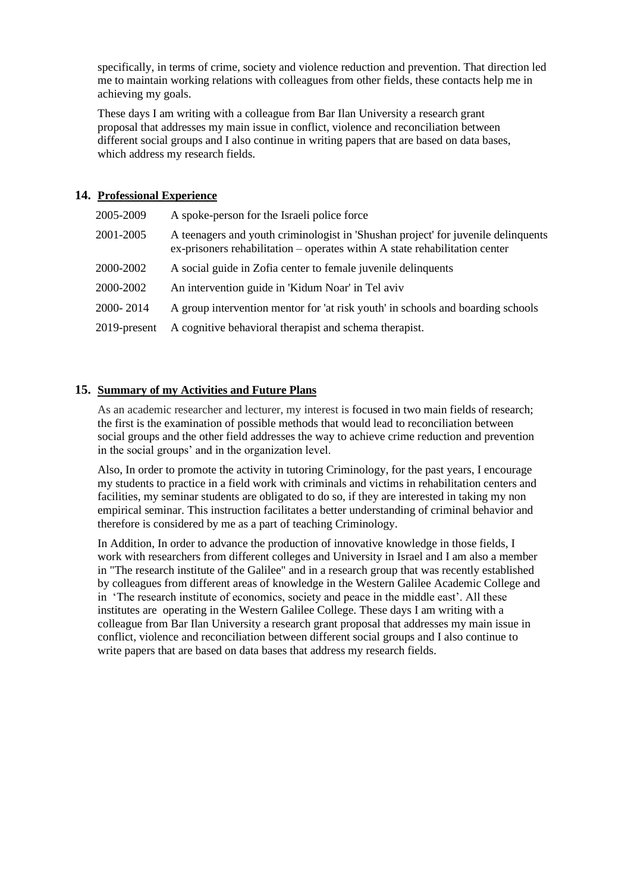specifically, in terms of crime, society and violence reduction and prevention. That direction led me to maintain working relations with colleagues from other fields, these contacts help me in achieving my goals.

These days I am writing with a colleague from Bar Ilan University a research grant proposal that addresses my main issue in conflict, violence and reconciliation between different social groups and I also continue in writing papers that are based on data bases, which address my research fields.

#### **14. Professional Experience**

| 2005-2009    | A spoke-person for the Israeli police force                                                                                                                      |
|--------------|------------------------------------------------------------------------------------------------------------------------------------------------------------------|
| 2001-2005    | A teenagers and youth criminologist in 'Shushan project' for juvenile delinquents<br>ex-prisoners rehabilitation – operates within A state rehabilitation center |
| 2000-2002    | A social guide in Zofia center to female juvenile delinquents                                                                                                    |
| 2000-2002    | An intervention guide in 'Kidum Noar' in Tel aviv                                                                                                                |
| 2000-2014    | A group intervention mentor for 'at risk youth' in schools and boarding schools                                                                                  |
| 2019-present | A cognitive behavioral therapist and schema therapist.                                                                                                           |

#### **15. Summary of my Activities and Future Plans**

As an academic researcher and lecturer, my interest is focused in two main fields of research; the first is the examination of possible methods that would lead to reconciliation between social groups and the other field addresses the way to achieve crime reduction and prevention in the social groups' and in the organization level.

Also, In order to promote the activity in tutoring Criminology, for the past years, I encourage my students to practice in a field work with criminals and victims in rehabilitation centers and facilities, my seminar students are obligated to do so, if they are interested in taking my non empirical seminar. This instruction facilitates a better understanding of criminal behavior and therefore is considered by me as a part of teaching Criminology.

In Addition, In order to advance the production of innovative knowledge in those fields, I work with researchers from different colleges and University in Israel and I am also a member in "The research institute of the Galilee" and in a research group that was recently established by colleagues from different areas of knowledge in the Western Galilee Academic College and in 'The research institute of economics, society and peace in the middle east'. All these institutes are operating in the Western Galilee College. These days I am writing with a colleague from Bar Ilan University a research grant proposal that addresses my main issue in conflict, violence and reconciliation between different social groups and I also continue to write papers that are based on data bases that address my research fields.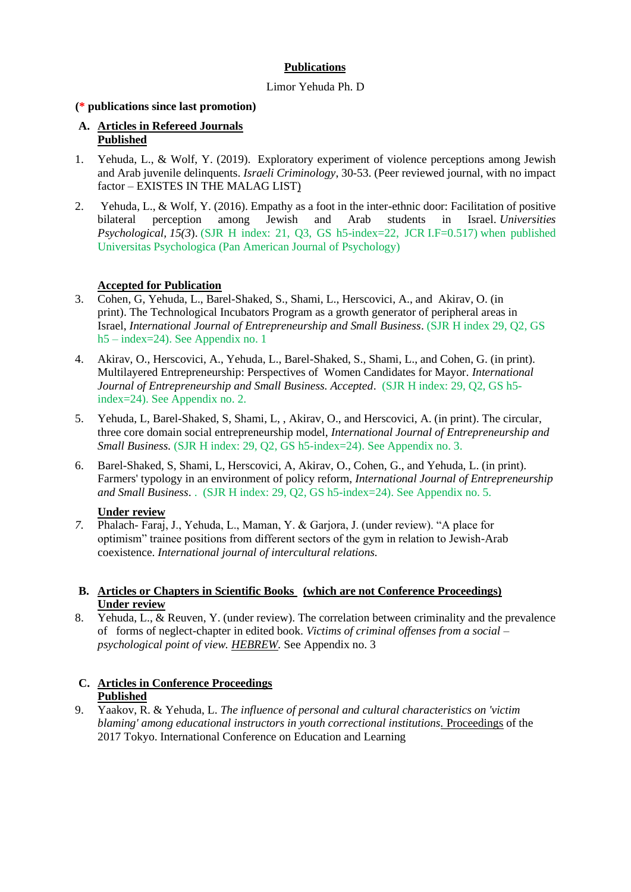#### **Publications**

#### Limor Yehuda Ph. D

#### **(\* publications since last promotion)**

#### **A. Articles in Refereed Journals Published**

- 1. Yehuda, L., & Wolf, Y. (2019). Exploratory experiment of violence perceptions among Jewish and Arab juvenile delinquents. *Israeli Criminology*, 30-53. (Peer reviewed journal, with no impact factor – EXISTES IN THE MALAG LIST)
- 2. Yehuda, L., & Wolf, Y. (2016). Empathy as a foot in the inter-ethnic door: Facilitation of positive bilateral perception among Jewish and Arab students in Israel. *Universities Psychological, 15(3*). (SJR H index: 21, Q3, GS h5-index=22, JCR I.F=0.517) when published Universitas Psychologica (Pan American Journal of Psychology)

#### **Accepted for Publication**

- 3. Cohen, G, Yehuda, L., Barel-Shaked, S., Shami, L., Herscovici, A., and Akirav, O. (in print). The Technological Incubators Program as a growth generator of peripheral areas in Israel, *International Journal of Entrepreneurship and Small Business*. (SJR H index 29, Q2, GS h5 – index=24). See Appendix no. 1
- 4. Akirav, O., Herscovici, A., Yehuda, L., Barel-Shaked, S., Shami, L., and Cohen, G. (in print). Multilayered Entrepreneurship: Perspectives of Women Candidates for Mayor. *International Journal of Entrepreneurship and Small Business. Accepted*. (SJR H index: 29, Q2, GS h5 index=24). See Appendix no. 2.
- 5. Yehuda, L, Barel-Shaked, S, Shami, L, , Akirav, O., and Herscovici, A. (in print). The circular, three core domain social entrepreneurship model, *International Journal of Entrepreneurship and Small Business.* (SJR H index: 29, Q2, GS h5-index=24). See Appendix no. 3.
- 6. Barel-Shaked, S, Shami, L, Herscovici, A, Akirav, O., Cohen, G., and Yehuda, L. (in print). Farmers' typology in an environment of policy reform, *International Journal of Entrepreneurship and Small Business*. . (SJR H index: 29, Q2, GS h5-index=24). See Appendix no. 5.

#### **Under review**

*7.* Phalach- Faraj, J., Yehuda, L., Maman, Y. & Garjora, J. (under review). "A place for optimism" trainee positions from different sectors of the gym in relation to Jewish-Arab coexistence. *International journal of intercultural relations.*

#### **B. Articles or Chapters in Scientific Books (which are not Conference Proceedings) Under review**

8. Yehuda, L., & Reuven, Y. (under review). The correlation between criminality and the prevalence of forms of neglect-chapter in edited book. *Victims of criminal offenses from a social – psychological point of view. HEBREW.* See Appendix no. 3

#### **C. Articles in Conference Proceedings Published**

9. Yaakov, R. & Yehuda, L. *The influence of personal and cultural characteristics on 'victim blaming' among educational instructors in youth correctional institutions.* Proceedings of the 2017 Tokyo. International Conference on Education and Learning